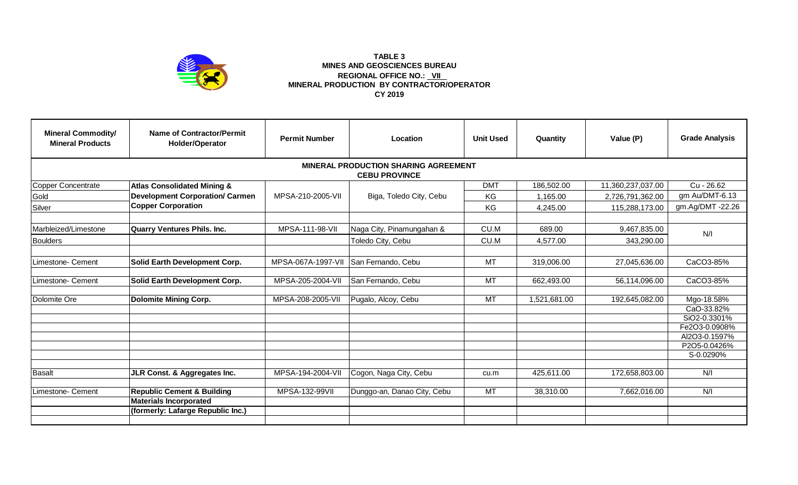

## **TABLE 3 MINES AND GEOSCIENCES BUREAU REGIONAL OFFICE NO.: VII MINERAL PRODUCTION BY CONTRACTOR/OPERATOR CY 2019**

| <b>Mineral Commodity/</b><br><b>Mineral Products</b>                | Name of Contractor/Permit<br>Holder/Operator | <b>Permit Number</b> | Location                    | <b>Unit Used</b> | Quantity     | Value (P)         | <b>Grade Analysis</b> |  |  |  |  |  |  |
|---------------------------------------------------------------------|----------------------------------------------|----------------------|-----------------------------|------------------|--------------|-------------------|-----------------------|--|--|--|--|--|--|
| <b>MINERAL PRODUCTION SHARING AGREEMENT</b><br><b>CEBU PROVINCE</b> |                                              |                      |                             |                  |              |                   |                       |  |  |  |  |  |  |
| <b>Copper Concentrate</b>                                           | <b>Atlas Consolidated Mining &amp;</b>       |                      |                             | <b>DMT</b>       | 186,502.00   | 11,360,237,037.00 | Cu - 26.62            |  |  |  |  |  |  |
| Gold                                                                | <b>Development Corporation/ Carmen</b>       | MPSA-210-2005-VII    | Biga, Toledo City, Cebu     | KG               | 1,165.00     | 2,726,791,362.00  | gm Au/DMT-6.13        |  |  |  |  |  |  |
| Silver                                                              | <b>Copper Corporation</b>                    |                      |                             | KG               | 4,245.00     | 115,288,173.00    | gm.Ag/DMT -22.26      |  |  |  |  |  |  |
|                                                                     |                                              |                      |                             |                  |              |                   |                       |  |  |  |  |  |  |
| Marbleized/Limestone                                                | <b>Quarry Ventures Phils. Inc.</b>           | MPSA-111-98-VII      | Naga City, Pinamungahan &   | CU.M             | 689.00       | 9,467,835.00      | N/I                   |  |  |  |  |  |  |
| <b>Boulders</b>                                                     |                                              |                      | Toledo City, Cebu           | CU.M             | 4,577.00     | 343,290.00        |                       |  |  |  |  |  |  |
|                                                                     |                                              |                      |                             |                  |              |                   |                       |  |  |  |  |  |  |
| Limestone- Cement                                                   | <b>Solid Earth Development Corp.</b>         | MPSA-067A-1997-VII   | San Fernando, Cebu          | <b>MT</b>        | 319,006.00   | 27,045,636.00     | CaCO3-85%             |  |  |  |  |  |  |
|                                                                     |                                              |                      |                             |                  |              |                   |                       |  |  |  |  |  |  |
| Limestone- Cement                                                   | Solid Earth Development Corp.                | MPSA-205-2004-VII    | San Fernando, Cebu          | <b>MT</b>        | 662,493.00   | 56,114,096.00     | CaCO3-85%             |  |  |  |  |  |  |
| Dolomite Ore                                                        | <b>Dolomite Mining Corp.</b>                 | MPSA-208-2005-VII    | Pugalo, Alcoy, Cebu         | <b>MT</b>        | 1,521,681.00 | 192,645,082.00    | Mgo-18.58%            |  |  |  |  |  |  |
|                                                                     |                                              |                      |                             |                  |              |                   | CaO-33.82%            |  |  |  |  |  |  |
|                                                                     |                                              |                      |                             |                  |              |                   | SiO2-0.3301%          |  |  |  |  |  |  |
|                                                                     |                                              |                      |                             |                  |              |                   | Fe2O3-0.0908%         |  |  |  |  |  |  |
|                                                                     |                                              |                      |                             |                  |              |                   | Al2O3-0.1597%         |  |  |  |  |  |  |
|                                                                     |                                              |                      |                             |                  |              |                   | P2O5-0.0426%          |  |  |  |  |  |  |
|                                                                     |                                              |                      |                             |                  |              |                   | S-0.0290%             |  |  |  |  |  |  |
| <b>Basalt</b>                                                       | JLR Const. & Aggregates Inc.                 | MPSA-194-2004-VII    | Cogon, Naga City, Cebu      | cu.m             | 425,611.00   | 172,658,803.00    | N/I                   |  |  |  |  |  |  |
|                                                                     |                                              |                      |                             |                  |              |                   |                       |  |  |  |  |  |  |
| Limestone- Cement                                                   | <b>Republic Cement &amp; Building</b>        | MPSA-132-99VII       | Dunggo-an, Danao City, Cebu | $\overline{MT}$  | 38,310.00    | 7,662,016.00      | N/1                   |  |  |  |  |  |  |
|                                                                     | <b>Materials Incorporated</b>                |                      |                             |                  |              |                   |                       |  |  |  |  |  |  |
|                                                                     | (formerly: Lafarge Republic Inc.)            |                      |                             |                  |              |                   |                       |  |  |  |  |  |  |
|                                                                     |                                              |                      |                             |                  |              |                   |                       |  |  |  |  |  |  |